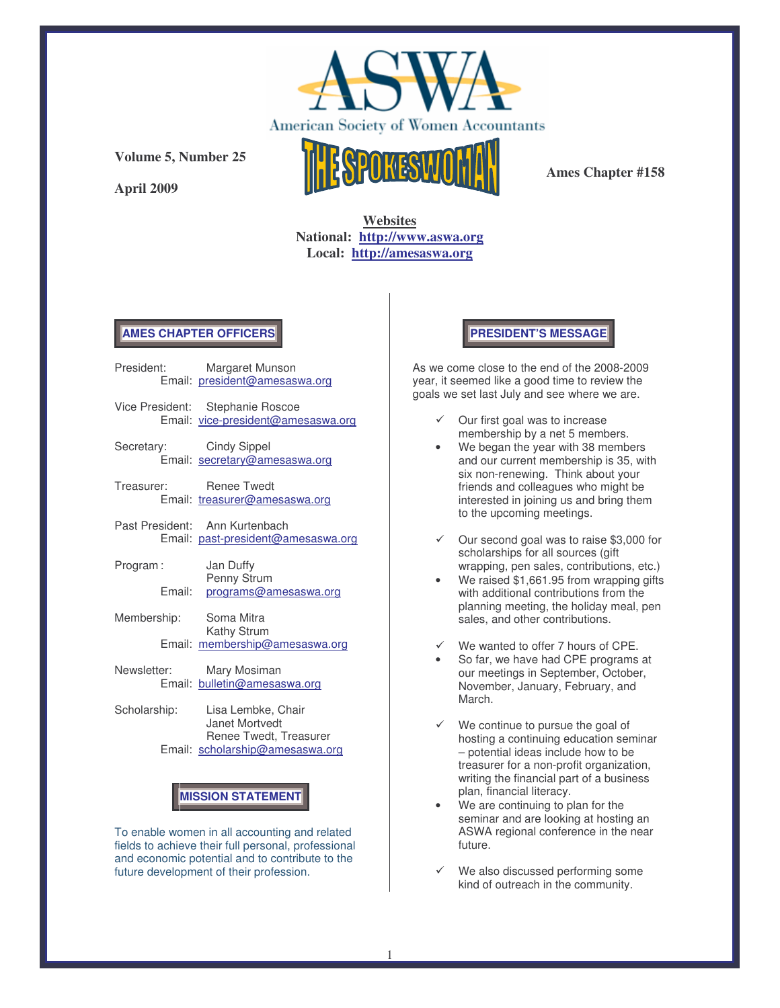

**April 2009**



**Ames Chapter #158**

# **Websites National: http://www.aswa.org Local: http://amesaswa.org**

## **AMES CHAPTER OFFICERS**

|              |        | President: Margaret Munson<br>Email: president@amesaswa.org            |
|--------------|--------|------------------------------------------------------------------------|
|              |        | Vice President: Stephanie Roscoe<br>Email: vice-president@amesaswa.org |
|              |        | Secretary: Cindy Sippel<br>Email: secretary@amesaswa.org               |
| Treasurer:   |        | <b>Renee Twedt</b><br>Email: treasurer@amesaswa.org                    |
|              |        | Past President: Ann Kurtenbach<br>Email: past-president@amesaswa.org   |
| Program:     |        | Jan Duffy                                                              |
|              | Email: | Penny Strum<br>programs@amesaswa.org                                   |
| Membership:  |        | Soma Mitra                                                             |
|              |        | Kathy Strum<br>Email: membership@amesaswa.org                          |
|              |        | Newsletter: Mary Mosiman<br>Email: bulletin@amesaswa.org               |
| Scholarship: |        | Lisa Lembke, Chair                                                     |

Renee Twedt, Treasurer Email: scholarship@amesaswa.org

# **MISSION STATEMENT**

To enable women in all accounting and related fields to achieve their full personal, professional and economic potential and to contribute to the future development of their profession.

## **PRESIDENT'S MESSAGE**

As we come close to the end of the 2008-2009 year, it seemed like a good time to review the goals we set last July and see where we are.

- Our first goal was to increase membership by a net 5 members.
- We began the year with 38 members and our current membership is 35, with six non-renewing. Think about your friends and colleagues who might be interested in joining us and bring them to the upcoming meetings.
- $\checkmark$  Our second goal was to raise \$3,000 for scholarships for all sources (gift wrapping, pen sales, contributions, etc.)
- We raised \$1,661.95 from wrapping gifts with additional contributions from the planning meeting, the holiday meal, pen sales, and other contributions.
- We wanted to offer 7 hours of CPE.
- So far, we have had CPE programs at our meetings in September, October, November, January, February, and March.
- We continue to pursue the goal of hosting a continuing education seminar – potential ideas include how to be treasurer for a non-profit organization, writing the financial part of a business plan, financial literacy.
- We are continuing to plan for the seminar and are looking at hosting an ASWA regional conference in the near future.
- We also discussed performing some kind of outreach in the community.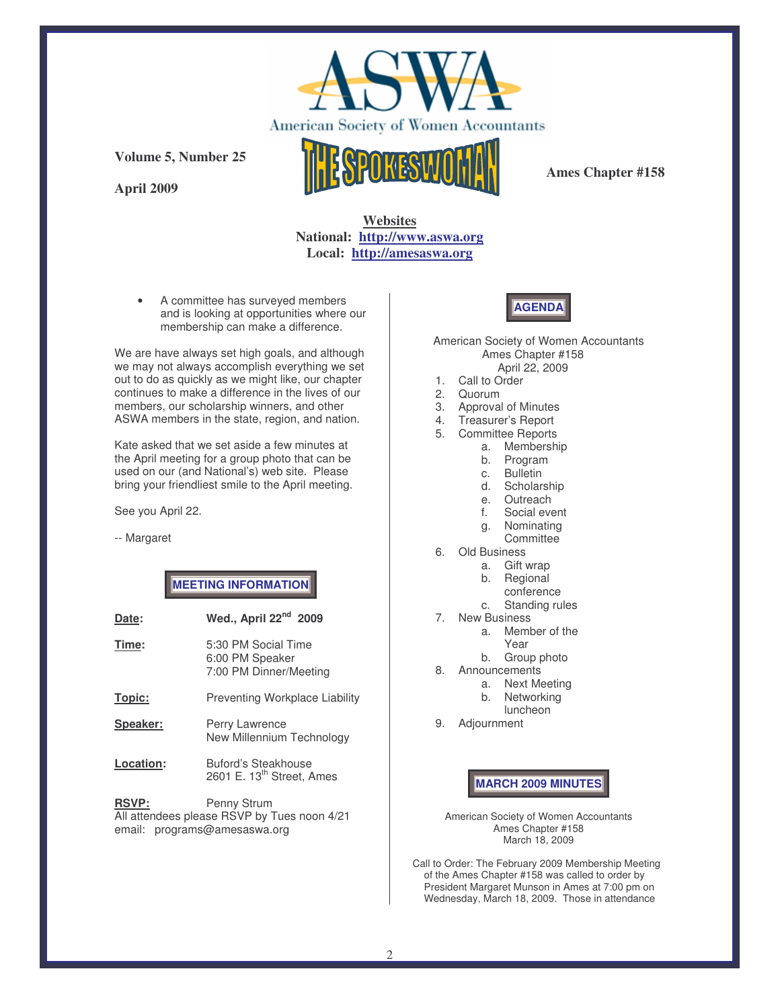

**April 2009**



**Ames Chapter #158**

# **Websites National: http://www.aswa.org Local: http://amesaswa.org**

• A committee has surveyed members and is looking at opportunities where our membership can make a difference.

We are have always set high goals, and although we may not always accomplish everything we set out to do as quickly as we might like, our chapter continues to make a difference in the lives of our members, our scholarship winners, and other ASWA members in the state, region, and nation.

Kate asked that we set aside a few minutes at the April meeting for a group photo that can be used on our (and National's) web site. Please bring your friendliest smile to the April meeting.

See you April 22.

-- Margaret

## **MEETING INFORMATION**

| Date:       | Wed., April 22 <sup>nd</sup> 2009                                |
|-------------|------------------------------------------------------------------|
| Time:       | 5:30 PM Social Time<br>6:00 PM Speaker<br>7:00 PM Dinner/Meeting |
| Topic:      | <b>Preventing Workplace Liability</b>                            |
| Speaker:    | Perry Lawrence<br>New Millennium Technology                      |
| Location:   | Buford's Steakhouse<br>2601 E. 13 <sup>th</sup> Street, Ames     |
| <b>RSVP</b> | Penny Strum                                                      |

**RSVP:** Penny Strum All attendees please RSVP by Tues noon 4/21 email: programs@amesaswa.org

# **AGENDA**

American Society of Women Accountants Ames Chapter #158 April 22, 2009

- 1. Call to Order
- 2. Quorum
- 3. Approval of Minutes
- 4. Treasurer's Report
- 5. Committee Reports
	- a. Membership
		- b. Program
		- c. Bulletin
	- d. Scholarship
	- e. Outreach
	- f. Social event
	- g. Nominating **Committee**
- 6. Old Business
	- a. Gift wrap
	- b. Regional
	- conference
	- c. Standing rules
- 7. New Business
	- a. Member of the
		- Year
	- b. Group photo
- 8. Announcements
	- a. Next Meeting
	- b. Networking
	- luncheon
- 9. Adjournment

**MARCH 2009 MINUTES**

American Society of Women Accountants Ames Chapter #158 March 18, 2009

Call to Order: The February 2009 Membership Meeting of the Ames Chapter #158 was called to order by President Margaret Munson in Ames at 7:00 pm on Wednesday, March 18, 2009. Those in attendance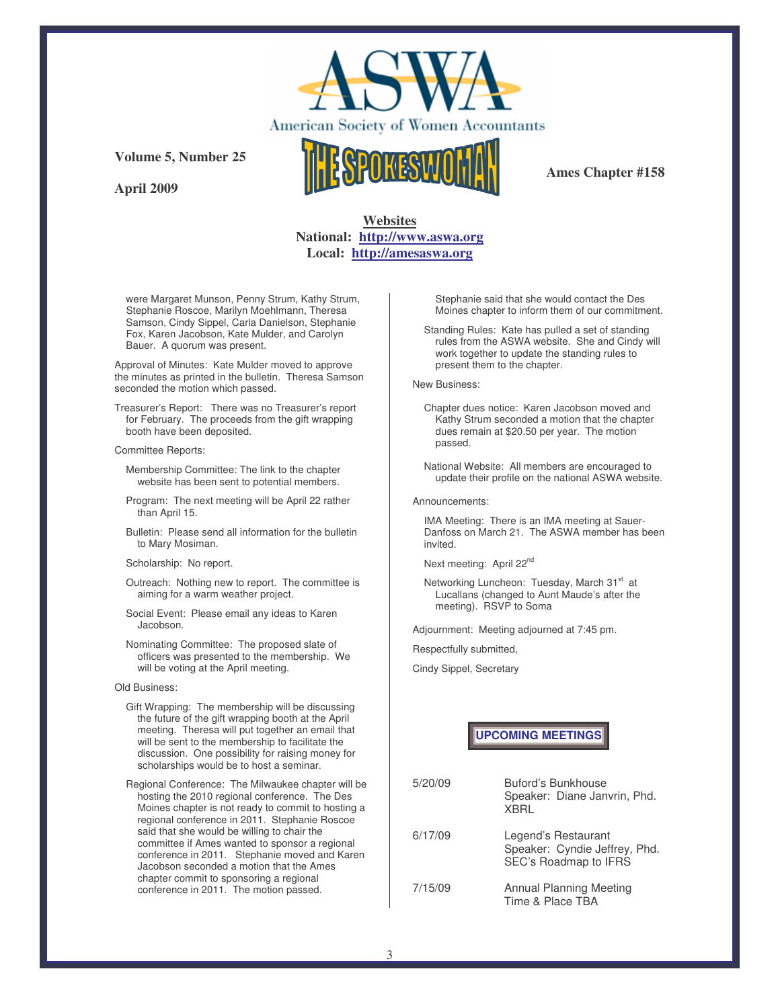

**April 2009**



**Ames Chapter #158**

## **Websites National: http://www.aswa.org Local: http://amesaswa.org**

were Margaret Munson, Penny Strum, Kathy Strum, Stephanie Roscoe, Marilyn Moehlmann, Theresa Samson, Cindy Sippel, Carla Danielson, Stephanie Fox, Karen Jacobson, Kate Mulder, and Carolyn Bauer. A quorum was present.

Approval of Minutes: Kate Mulder moved to approve the minutes as printed in the bulletin. Theresa Samson seconded the motion which passed.

Treasurer's Report: There was no Treasurer's report for February. The proceeds from the gift wrapping booth have been deposited.

#### Committee Reports:

Membership Committee: The link to the chapter website has been sent to potential members.

- Program: The next meeting will be April 22 rather than April 15.
- Bulletin: Please send all information for the bulletin to Mary Mosiman.

#### Scholarship: No report.

- Outreach: Nothing new to report. The committee is aiming for a warm weather project.
- Social Event: Please email any ideas to Karen Jacobson.
- Nominating Committee: The proposed slate of officers was presented to the membership. We will be voting at the April meeting.

#### Old Business:

- Gift Wrapping: The membership will be discussing the future of the gift wrapping booth at the April meeting. Theresa will put together an email that will be sent to the membership to facilitate the discussion. One possibility for raising money for scholarships would be to host a seminar.
- Regional Conference: The Milwaukee chapter will be hosting the 2010 regional conference. The Des Moines chapter is not ready to commit to hosting a regional conference in 2011. Stephanie Roscoe said that she would be willing to chair the committee if Ames wanted to sponsor a regional conference in 2011. Stephanie moved and Karen Jacobson seconded a motion that the Ames chapter commit to sponsoring a regional conference in 2011. The motion passed.

Stephanie said that she would contact the Des Moines chapter to inform them of our commitment.

Standing Rules: Kate has pulled a set of standing rules from the ASWA website. She and Cindy will work together to update the standing rules to present them to the chapter.

### New Business:

- Chapter dues notice: Karen Jacobson moved and Kathy Strum seconded a motion that the chapter dues remain at \$20.50 per year. The motion passed.
- National Website: All members are encouraged to update their profile on the national ASWA website.

#### Announcements:

IMA Meeting: There is an IMA meeting at Sauer-Danfoss on March 21. The ASWA member has been invited.

Next meeting: April 22<sup>nd</sup>

Networking Luncheon: Tuesday, March 31<sup>st</sup> at Lucallans (changed to Aunt Maude's after the meeting). RSVP to Soma

Adjournment: Meeting adjourned at 7:45 pm.

Respectfully submitted,

Cindy Sippel, Secretary

**UPCOMING MEETINGS**

| 5/20/09 | Buford's Bunkhouse<br>Speaker: Diane Janvrin, Phd.<br><b>XBRI</b>             |
|---------|-------------------------------------------------------------------------------|
| 6/17/09 | Legend's Restaurant<br>Speaker: Cyndie Jeffrey, Phd.<br>SEC's Roadmap to IFRS |
| 7/15/09 | Annual Planning Meeting<br>Time & Place TBA                                   |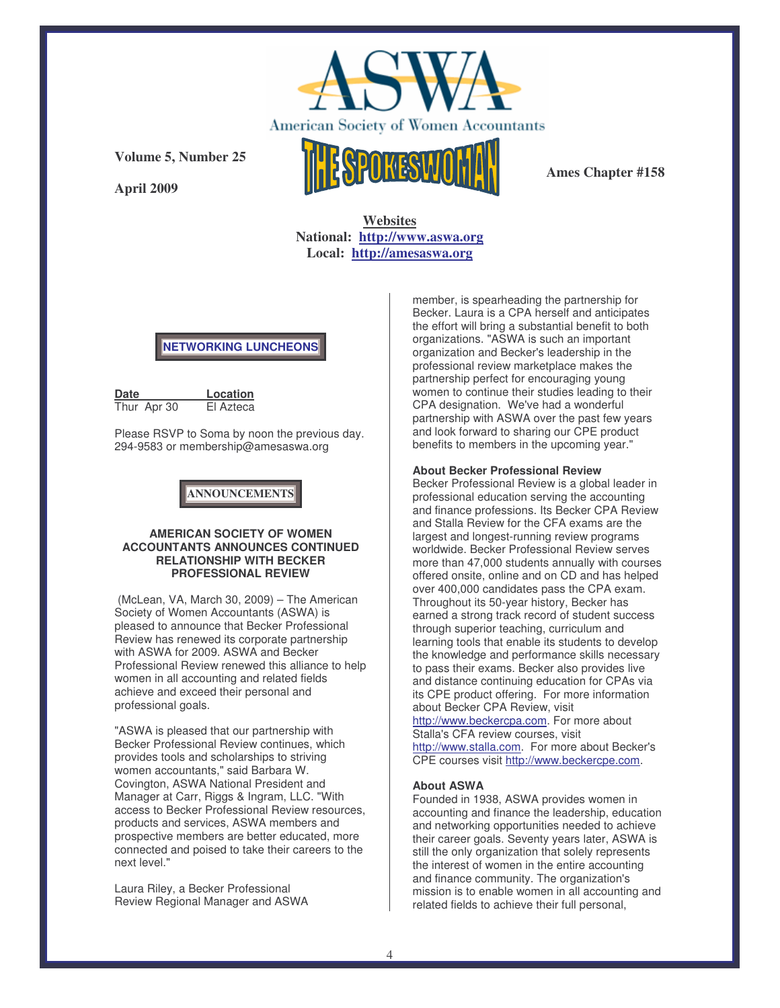

**Ames Chapter #158**

**Websites National: http://www.aswa.org**

**Local: http://amesaswa.org**

## **NETWORKING LUNCHEONS**

| Date |             | Location  |
|------|-------------|-----------|
|      | Thur Apr 30 | El Azteca |

**Volume 5, Number 25**

**April 2009**

Please RSVP to Soma by noon the previous day. 294-9583 or membership@amesaswa.org

**ANNOUNCEMENTS**

## **AMERICAN SOCIETY OF WOMEN ACCOUNTANTS ANNOUNCES CONTINUED RELATIONSHIP WITH BECKER PROFESSIONAL REVIEW**

(McLean, VA, March 30, 2009) – The American Society of Women Accountants (ASWA) is pleased to announce that Becker Professional Review has renewed its corporate partnership with ASWA for 2009. ASWA and Becker Professional Review renewed this alliance to help women in all accounting and related fields achieve and exceed their personal and professional goals.

"ASWA is pleased that our partnership with Becker Professional Review continues, which provides tools and scholarships to striving women accountants," said Barbara W. Covington, ASWA National President and Manager at Carr, Riggs & Ingram, LLC. "With access to Becker Professional Review resources, products and services, ASWA members and prospective members are better educated, more connected and poised to take their careers to the next level."

Laura Riley, a Becker Professional Review Regional Manager and ASWA member, is spearheading the partnership for Becker. Laura is a CPA herself and anticipates the effort will bring a substantial benefit to both organizations. "ASWA is such an important organization and Becker's leadership in the professional review marketplace makes the partnership perfect for encouraging young women to continue their studies leading to their CPA designation. We've had a wonderful partnership with ASWA over the past few years and look forward to sharing our CPE product benefits to members in the upcoming year."

## **About Becker Professional Review**

Becker Professional Review is a global leader in professional education serving the accounting and finance professions. Its Becker CPA Review and Stalla Review for the CFA exams are the largest and longest-running review programs worldwide. Becker Professional Review serves more than 47,000 students annually with courses offered onsite, online and on CD and has helped over 400,000 candidates pass the CPA exam. Throughout its 50-year history, Becker has earned a strong track record of student success through superior teaching, curriculum and learning tools that enable its students to develop the knowledge and performance skills necessary to pass their exams. Becker also provides live and distance continuing education for CPAs via its CPE product offering. For more information about Becker CPA Review, visit http://www.beckercpa.com. For more about

Stalla's CFA review courses, visit http://www.stalla.com. For more about Becker's CPE courses visit http://www.beckercpe.com.

## **About ASWA**

Founded in 1938, ASWA provides women in accounting and finance the leadership, education and networking opportunities needed to achieve their career goals. Seventy years later, ASWA is still the only organization that solely represents the interest of women in the entire accounting and finance community. The organization's mission is to enable women in all accounting and related fields to achieve their full personal,